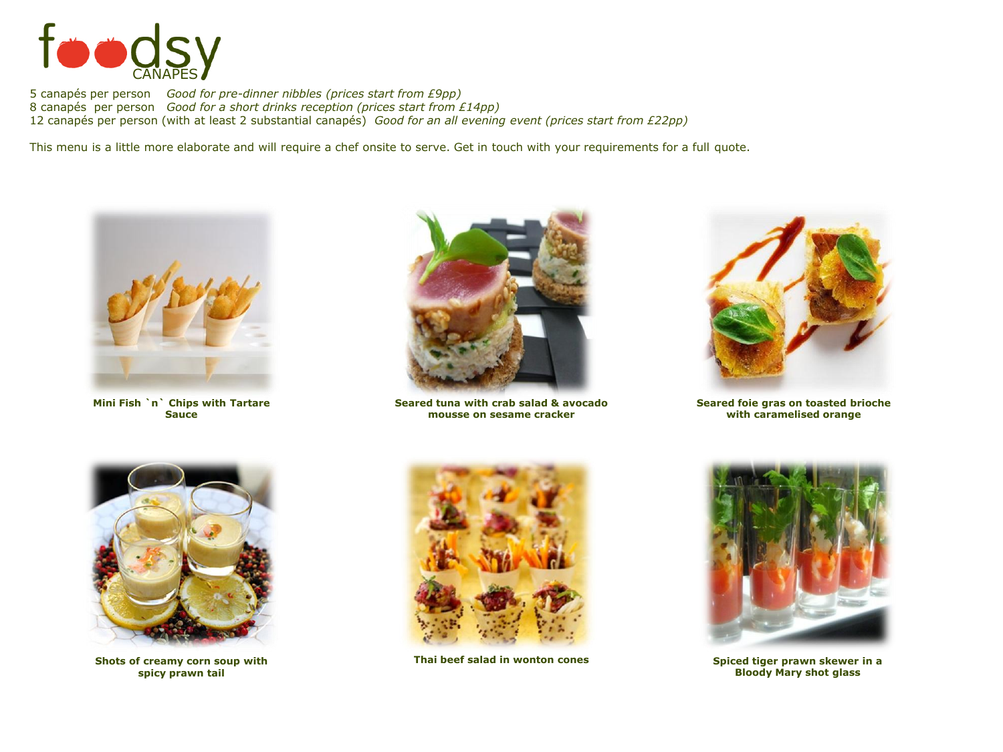

5 canapés per person *Good for pre-dinner nibbles (prices start from £9pp)* 8 canapés per person *Good for a short drinks reception (prices start from £14pp)* 12 canapés per person (with at least 2 substantial canapés) *Good for an all evening event (prices start from £22pp)*

This menu is a little more elaborate and will require a chef onsite to serve. Get in touch with your requirements for a full quote.



**Mini Fish `n` Chips with Tartare Sauce**



**Seared tuna with crab salad & avocado mousse on sesame cracker**



**Seared foie gras on toasted brioche with caramelised orange**



**spicy prawn tail**



**Shots of creamy corn soup with Thai beef salad in wonton cones**



**Spiced tiger prawn skewer in a Bloody Mary shot glass**